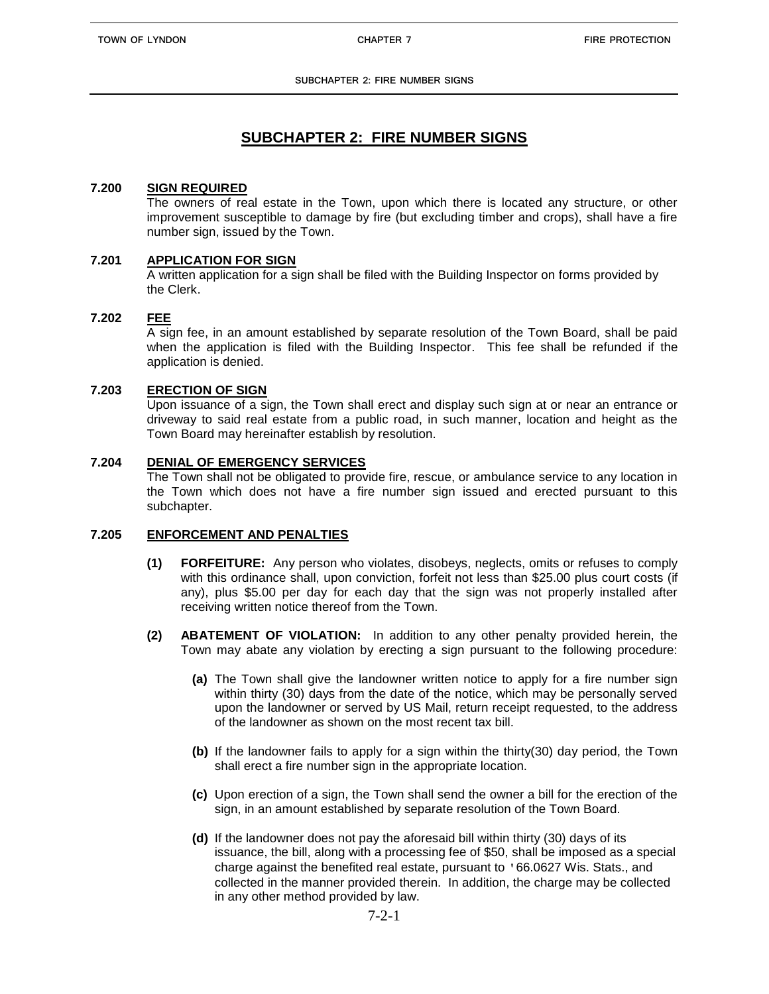**SUBCHAPTER 2: FIRE NUMBER SIGNS**

# **SUBCHAPTER 2: FIRE NUMBER SIGNS**

# **7.200 SIGN REQUIRED**

The owners of real estate in the Town, upon which there is located any structure, or other improvement susceptible to damage by fire (but excluding timber and crops), shall have a fire number sign, issued by the Town.

# **7.201 APPLICATION FOR SIGN**

A written application for a sign shall be filed with the Building Inspector on forms provided by the Clerk.

#### **7.202 FEE**

A sign fee, in an amount established by separate resolution of the Town Board, shall be paid when the application is filed with the Building Inspector. This fee shall be refunded if the application is denied.

#### **7.203 ERECTION OF SIGN**

Upon issuance of a sign, the Town shall erect and display such sign at or near an entrance or driveway to said real estate from a public road, in such manner, location and height as the Town Board may hereinafter establish by resolution.

# **7.204 DENIAL OF EMERGENCY SERVICES**

The Town shall not be obligated to provide fire, rescue, or ambulance service to any location in the Town which does not have a fire number sign issued and erected pursuant to this subchapter.

# **7.205 ENFORCEMENT AND PENALTIES**

- **(1) FORFEITURE:** Any person who violates, disobeys, neglects, omits or refuses to comply with this ordinance shall, upon conviction, forfeit not less than \$25.00 plus court costs (if any), plus \$5.00 per day for each day that the sign was not properly installed after receiving written notice thereof from the Town.
- **(2) ABATEMENT OF VIOLATION:** In addition to any other penalty provided herein, the Town may abate any violation by erecting a sign pursuant to the following procedure:
	- **(a)** The Town shall give the landowner written notice to apply for a fire number sign within thirty (30) days from the date of the notice, which may be personally served upon the landowner or served by US Mail, return receipt requested, to the address of the landowner as shown on the most recent tax bill.
	- **(b)** If the landowner fails to apply for a sign within the thirty(30) day period, the Town shall erect a fire number sign in the appropriate location.
	- **(c)** Upon erection of a sign, the Town shall send the owner a bill for the erection of the sign, in an amount established by separate resolution of the Town Board.
	- **(d)** If the landowner does not pay the aforesaid bill within thirty (30) days of its issuance, the bill, along with a processing fee of \$50, shall be imposed as a special charge against the benefited real estate, pursuant to '66.0627 Wis. Stats., and collected in the manner provided therein. In addition, the charge may be collected in any other method provided by law.